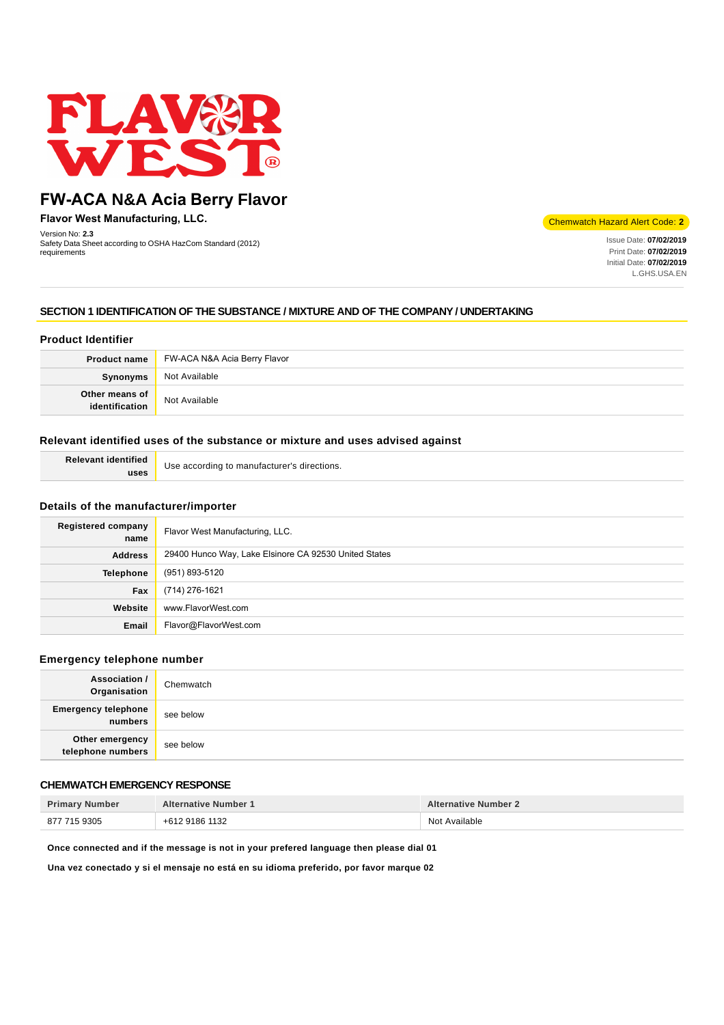

# **FW-ACA N&A Acia Berry Flavor**

**Flavor West Manufacturing, LLC.**

Version No: **2.3** Safety Data Sheet according to OSHA HazCom Standard (2012) requirements

Chemwatch Hazard Alert Code: **2**

Issue Date: **07/02/2019** Print Date: **07/02/2019** Initial Date: **07/02/2019** L.GHS.USA.EN

# **SECTION 1 IDENTIFICATION OF THE SUBSTANCE / MIXTURE AND OF THE COMPANY / UNDERTAKING**

# **Product Identifier**

|                                  | <b>Product name</b> FW-ACA N&A Acia Berry Flavor |
|----------------------------------|--------------------------------------------------|
| Synonyms                         | Not Available                                    |
| Other means of<br>identification | Not Available                                    |

## **Relevant identified uses of the substance or mixture and uses advised against**

| <b>Relevant identified</b> | Use according to manufacturer's directions. |
|----------------------------|---------------------------------------------|
| uses                       |                                             |

### **Details of the manufacturer/importer**

| Registered company<br>name | Flavor West Manufacturing, LLC.                       |
|----------------------------|-------------------------------------------------------|
| <b>Address</b>             | 29400 Hunco Way, Lake Elsinore CA 92530 United States |
| <b>Telephone</b>           | (951) 893-5120                                        |
| Fax                        | (714) 276-1621                                        |
| Website                    | www.FlavorWest.com                                    |
| Email                      | Flavor@FlavorWest.com                                 |

### **Emergency telephone number**

| <b>Association /</b><br>Organisation  | Chemwatch |
|---------------------------------------|-----------|
| <b>Emergency telephone</b><br>numbers | see below |
| Other emergency<br>telephone numbers  | see below |

# **CHEMWATCH EMERGENCY RESPONSE**

| <b>Primary Number</b> | <b>Alternative Number 1</b> | <b>Alternative Number 2</b> |
|-----------------------|-----------------------------|-----------------------------|
| 877 715 9305          | +612 9186 1132              | Not Available               |

**Once connected and if the message is not in your prefered language then please dial 01**

**Una vez conectado y si el mensaje no está en su idioma preferido, por favor marque 02**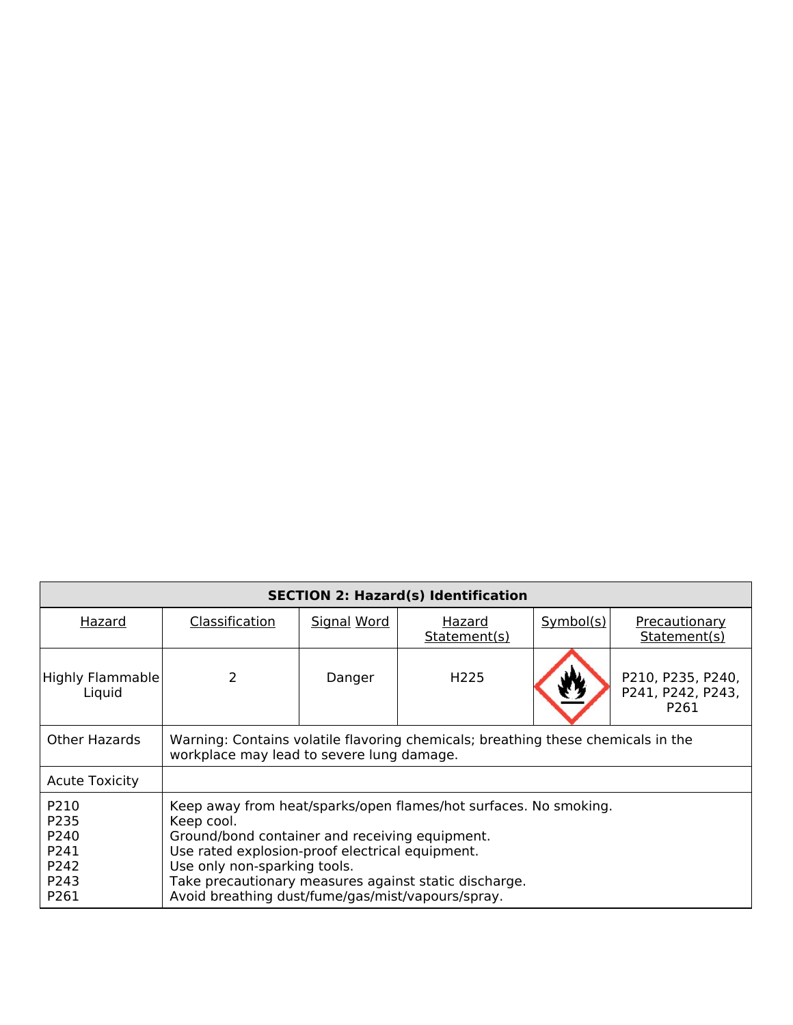| <b>SECTION 2: Hazard(s) Identification</b>           |                                                                                                                                                                                                                                                                                                                                   |                    |                        |           |                                                            |
|------------------------------------------------------|-----------------------------------------------------------------------------------------------------------------------------------------------------------------------------------------------------------------------------------------------------------------------------------------------------------------------------------|--------------------|------------------------|-----------|------------------------------------------------------------|
| Hazard                                               | Classification                                                                                                                                                                                                                                                                                                                    | <b>Signal Word</b> | Hazard<br>Statement(s) | Symbol(s) | <b>Precautionary</b><br>Statement(s)                       |
| <b>Highly Flammable</b><br>Liquid                    | 2                                                                                                                                                                                                                                                                                                                                 | Danger             | H <sub>225</sub>       |           | P210, P235, P240,<br>P241, P242, P243,<br>P <sub>261</sub> |
| <b>Other Hazards</b>                                 | Warning: Contains volatile flavoring chemicals; breathing these chemicals in the<br>workplace may lead to severe lung damage.                                                                                                                                                                                                     |                    |                        |           |                                                            |
| <b>Acute Toxicity</b>                                |                                                                                                                                                                                                                                                                                                                                   |                    |                        |           |                                                            |
| P210<br>P235<br>P240<br>P241<br>P242<br>P243<br>P261 | Keep away from heat/sparks/open flames/hot surfaces. No smoking.<br>Keep cool.<br>Ground/bond container and receiving equipment.<br>Use rated explosion-proof electrical equipment.<br>Use only non-sparking tools.<br>Take precautionary measures against static discharge.<br>Avoid breathing dust/fume/gas/mist/vapours/spray. |                    |                        |           |                                                            |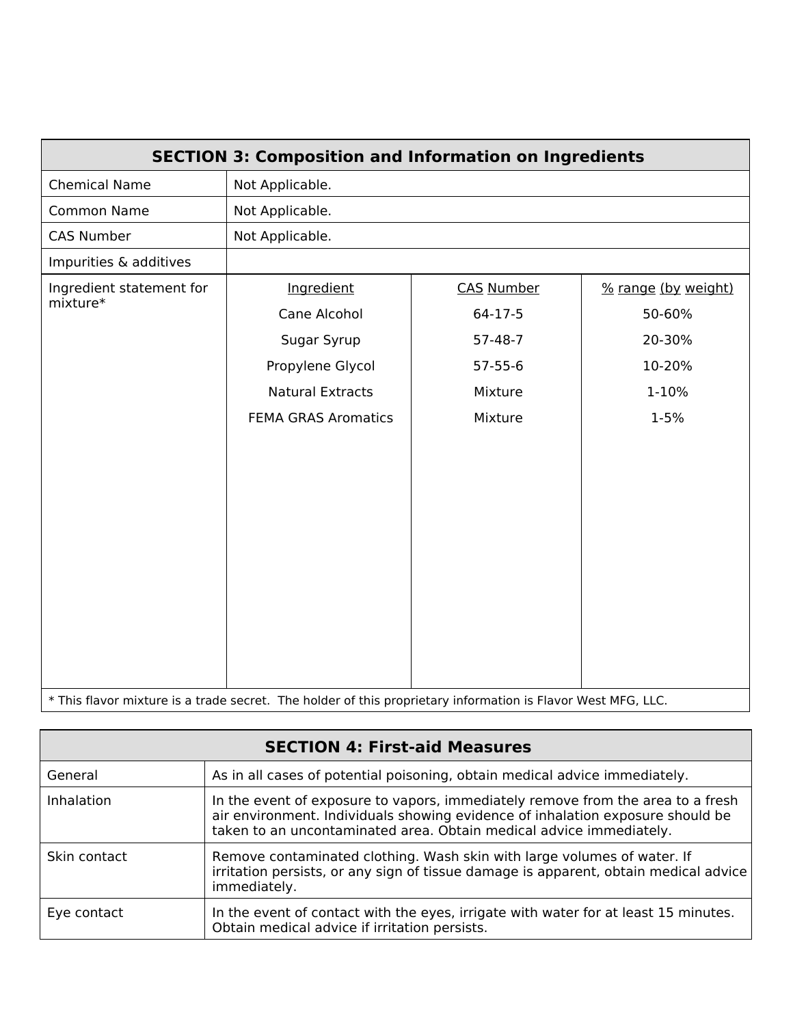| <b>SECTION 3: Composition and Information on Ingredients</b>                                                 |                            |                   |                     |
|--------------------------------------------------------------------------------------------------------------|----------------------------|-------------------|---------------------|
| <b>Chemical Name</b>                                                                                         | Not Applicable.            |                   |                     |
| <b>Common Name</b>                                                                                           | Not Applicable.            |                   |                     |
| <b>CAS Number</b>                                                                                            | Not Applicable.            |                   |                     |
| Impurities & additives                                                                                       |                            |                   |                     |
| Ingredient statement for                                                                                     | Ingredient                 | <b>CAS Number</b> | % range (by weight) |
| mixture*                                                                                                     | Cane Alcohol               | $64-17-5$         | 50-60%              |
|                                                                                                              | Sugar Syrup                | $57 - 48 - 7$     | 20-30%              |
|                                                                                                              | Propylene Glycol           | $57 - 55 - 6$     | 10-20%              |
|                                                                                                              | <b>Natural Extracts</b>    | Mixture           | 1-10%               |
|                                                                                                              | <b>FEMA GRAS Aromatics</b> | Mixture           | 1-5%                |
|                                                                                                              |                            |                   |                     |
| * This flavor mixture is a trade secret. The holder of this proprietary information is Flavor West MFG, LLC. |                            |                   |                     |

| <b>SECTION 4: First-aid Measures</b> |                                                                                                                                                                                                                                          |  |
|--------------------------------------|------------------------------------------------------------------------------------------------------------------------------------------------------------------------------------------------------------------------------------------|--|
| General                              | As in all cases of potential poisoning, obtain medical advice immediately.                                                                                                                                                               |  |
| Inhalation                           | In the event of exposure to vapors, immediately remove from the area to a fresh<br>air environment. Individuals showing evidence of inhalation exposure should be<br>taken to an uncontaminated area. Obtain medical advice immediately. |  |
| Skin contact                         | Remove contaminated clothing. Wash skin with large volumes of water. If<br>irritation persists, or any sign of tissue damage is apparent, obtain medical advice<br>immediately.                                                          |  |
| Eye contact                          | In the event of contact with the eyes, irrigate with water for at least 15 minutes.<br>Obtain medical advice if irritation persists.                                                                                                     |  |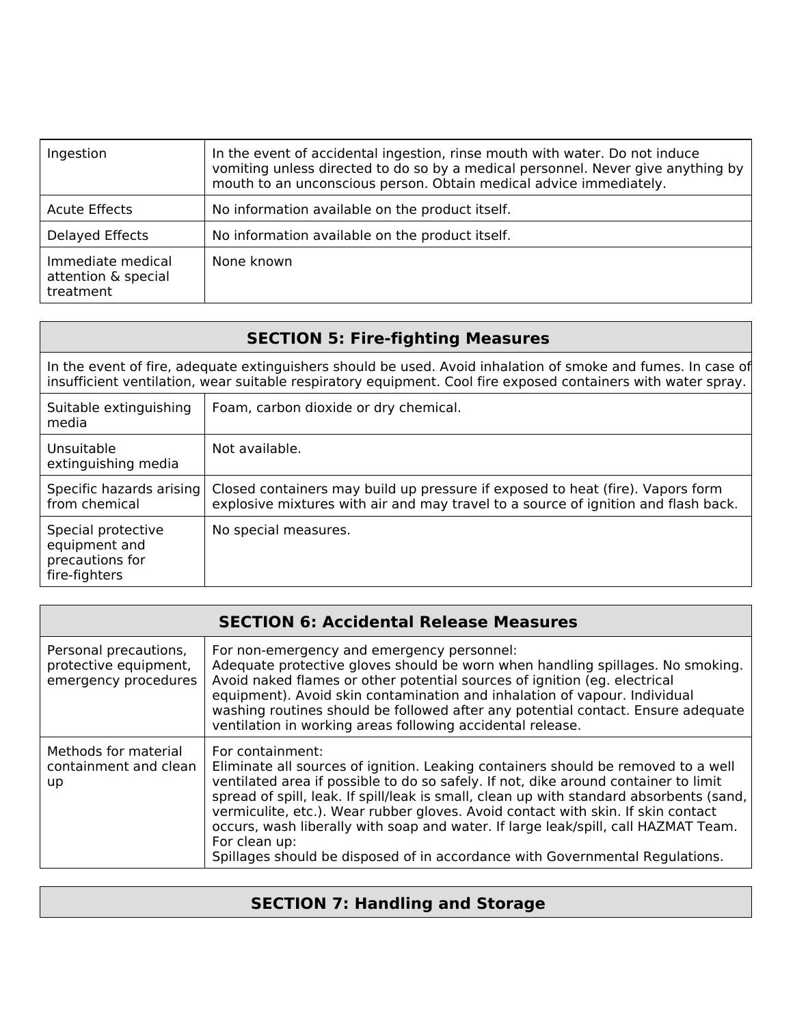| Ingestion                                             | In the event of accidental ingestion, rinse mouth with water. Do not induce<br>vomiting unless directed to do so by a medical personnel. Never give anything by<br>mouth to an unconscious person. Obtain medical advice immediately. |
|-------------------------------------------------------|---------------------------------------------------------------------------------------------------------------------------------------------------------------------------------------------------------------------------------------|
| <b>Acute Effects</b>                                  | No information available on the product itself.                                                                                                                                                                                       |
| Delayed Effects                                       | No information available on the product itself.                                                                                                                                                                                       |
| Immediate medical<br>attention & special<br>treatment | None known                                                                                                                                                                                                                            |

| <b>SECTION 5: Fire-fighting Measures</b>                                                                                                                                                                                      |                                                                                                                                                                      |  |
|-------------------------------------------------------------------------------------------------------------------------------------------------------------------------------------------------------------------------------|----------------------------------------------------------------------------------------------------------------------------------------------------------------------|--|
| In the event of fire, adequate extinguishers should be used. Avoid inhalation of smoke and fumes. In case of<br>insufficient ventilation, wear suitable respiratory equipment. Cool fire exposed containers with water spray. |                                                                                                                                                                      |  |
| Suitable extinguishing<br>media                                                                                                                                                                                               | Foam, carbon dioxide or dry chemical.                                                                                                                                |  |
| Unsuitable<br>extinguishing media                                                                                                                                                                                             | Not available.                                                                                                                                                       |  |
| Specific hazards arising<br>from chemical                                                                                                                                                                                     | Closed containers may build up pressure if exposed to heat (fire). Vapors form<br>explosive mixtures with air and may travel to a source of ignition and flash back. |  |
| Special protective<br>equipment and<br>precautions for<br>fire-fighters                                                                                                                                                       | No special measures.                                                                                                                                                 |  |

| <b>SECTION 6: Accidental Release Measures</b>                          |                                                                                                                                                                                                                                                                                                                                                                                                                                                                                                                                                                    |  |
|------------------------------------------------------------------------|--------------------------------------------------------------------------------------------------------------------------------------------------------------------------------------------------------------------------------------------------------------------------------------------------------------------------------------------------------------------------------------------------------------------------------------------------------------------------------------------------------------------------------------------------------------------|--|
| Personal precautions,<br>protective equipment,<br>emergency procedures | For non-emergency and emergency personnel:<br>Adequate protective gloves should be worn when handling spillages. No smoking.<br>Avoid naked flames or other potential sources of ignition (eg. electrical<br>equipment). Avoid skin contamination and inhalation of vapour. Individual<br>washing routines should be followed after any potential contact. Ensure adequate<br>ventilation in working areas following accidental release.                                                                                                                           |  |
| Methods for material<br>containment and clean<br>up                    | For containment:<br>Eliminate all sources of ignition. Leaking containers should be removed to a well<br>ventilated area if possible to do so safely. If not, dike around container to limit<br>spread of spill, leak. If spill/leak is small, clean up with standard absorbents (sand,<br>vermiculite, etc.). Wear rubber gloves. Avoid contact with skin. If skin contact<br>occurs, wash liberally with soap and water. If large leak/spill, call HAZMAT Team.<br>For clean up:<br>Spillages should be disposed of in accordance with Governmental Regulations. |  |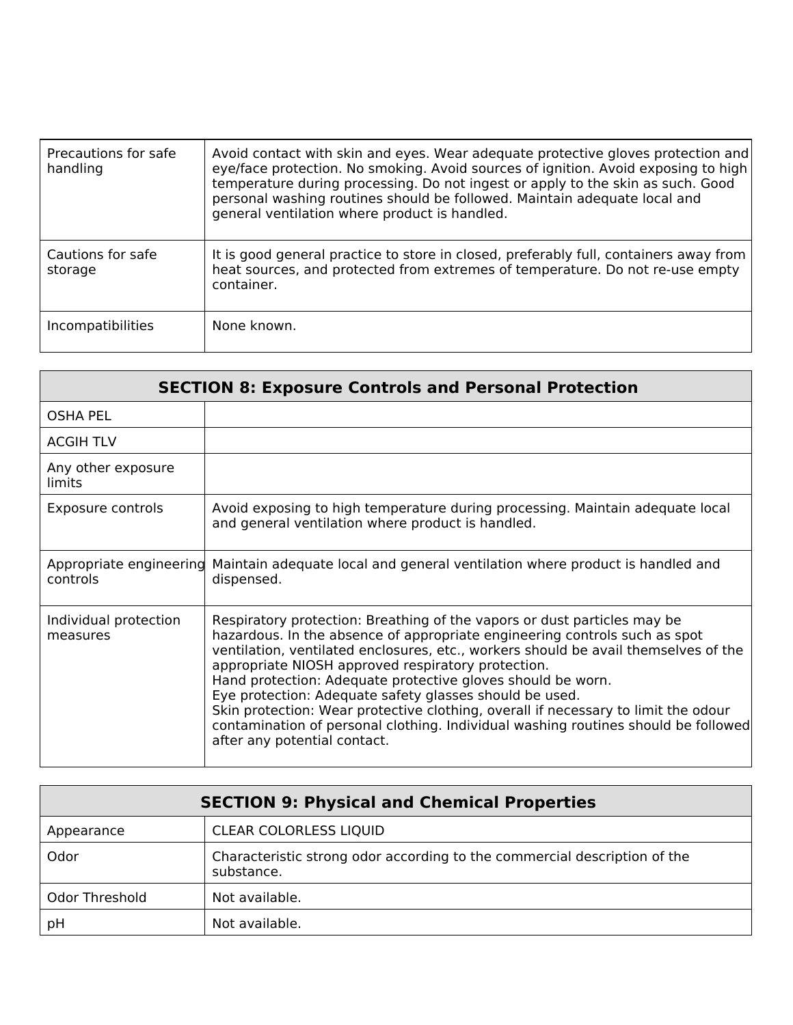| Precautions for safe<br>handling | Avoid contact with skin and eyes. Wear adequate protective gloves protection and<br>eye/face protection. No smoking. Avoid sources of ignition. Avoid exposing to high<br>temperature during processing. Do not ingest or apply to the skin as such. Good<br>personal washing routines should be followed. Maintain adequate local and<br>general ventilation where product is handled. |
|----------------------------------|-----------------------------------------------------------------------------------------------------------------------------------------------------------------------------------------------------------------------------------------------------------------------------------------------------------------------------------------------------------------------------------------|
| Cautions for safe<br>storage     | It is good general practice to store in closed, preferably full, containers away from<br>heat sources, and protected from extremes of temperature. Do not re-use empty<br>container.                                                                                                                                                                                                    |
| <i>Incompatibilities</i>         | None known.                                                                                                                                                                                                                                                                                                                                                                             |

| <b>SECTION 8: Exposure Controls and Personal Protection</b> |                                                                                                                                                                                                                                                                                                                                                                                                                                                                                                                                                                                                                                           |  |
|-------------------------------------------------------------|-------------------------------------------------------------------------------------------------------------------------------------------------------------------------------------------------------------------------------------------------------------------------------------------------------------------------------------------------------------------------------------------------------------------------------------------------------------------------------------------------------------------------------------------------------------------------------------------------------------------------------------------|--|
| <b>OSHA PEL</b>                                             |                                                                                                                                                                                                                                                                                                                                                                                                                                                                                                                                                                                                                                           |  |
| <b>ACGIH TLV</b>                                            |                                                                                                                                                                                                                                                                                                                                                                                                                                                                                                                                                                                                                                           |  |
| Any other exposure<br>limits                                |                                                                                                                                                                                                                                                                                                                                                                                                                                                                                                                                                                                                                                           |  |
| Exposure controls                                           | Avoid exposing to high temperature during processing. Maintain adequate local<br>and general ventilation where product is handled.                                                                                                                                                                                                                                                                                                                                                                                                                                                                                                        |  |
| Appropriate engineering<br>controls                         | Maintain adequate local and general ventilation where product is handled and<br>dispensed.                                                                                                                                                                                                                                                                                                                                                                                                                                                                                                                                                |  |
| Individual protection<br>measures                           | Respiratory protection: Breathing of the vapors or dust particles may be<br>hazardous. In the absence of appropriate engineering controls such as spot<br>ventilation, ventilated enclosures, etc., workers should be avail themselves of the<br>appropriate NIOSH approved respiratory protection.<br>Hand protection: Adequate protective gloves should be worn.<br>Eye protection: Adequate safety glasses should be used.<br>Skin protection: Wear protective clothing, overall if necessary to limit the odour<br>contamination of personal clothing. Individual washing routines should be followed<br>after any potential contact. |  |

| <b>SECTION 9: Physical and Chemical Properties</b> |                                                                                         |  |
|----------------------------------------------------|-----------------------------------------------------------------------------------------|--|
| Appearance                                         | <b>CLEAR COLORLESS LIQUID</b>                                                           |  |
| Odor                                               | Characteristic strong odor according to the commercial description of the<br>substance. |  |
| Odor Threshold                                     | Not available.                                                                          |  |
| pH                                                 | Not available.                                                                          |  |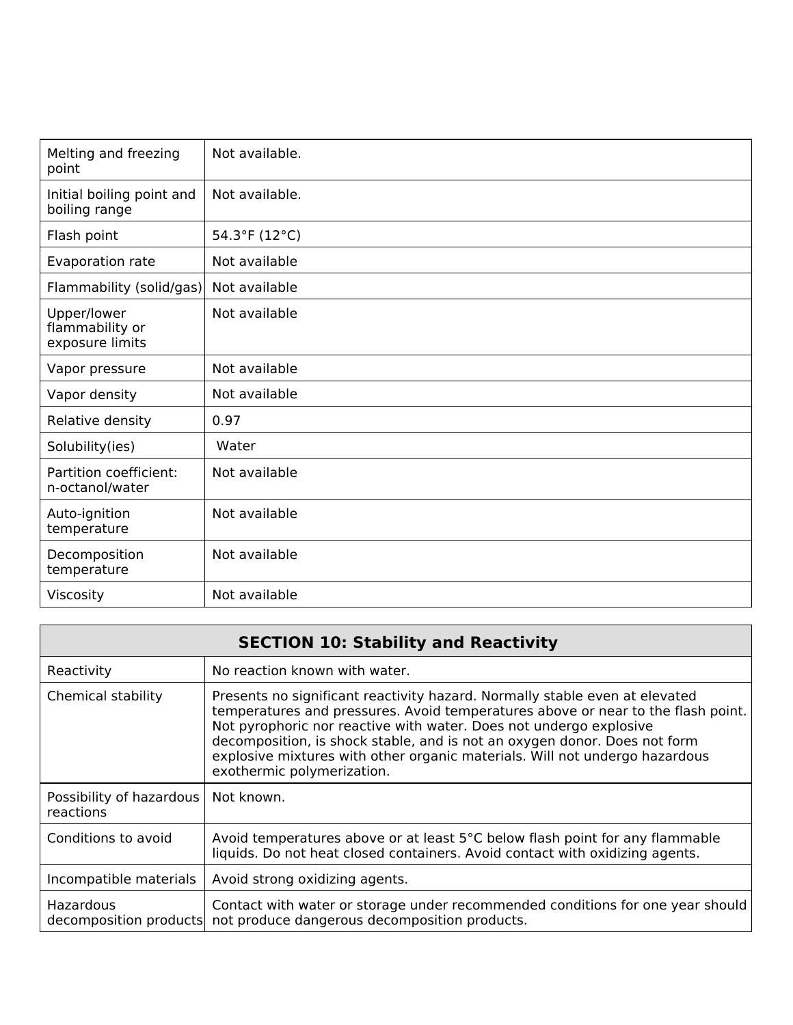| Melting and freezing<br>point                     | Not available. |
|---------------------------------------------------|----------------|
| Initial boiling point and<br>boiling range        | Not available. |
| Flash point                                       | 54.3°F (12°C)  |
| Evaporation rate                                  | Not available  |
| Flammability (solid/gas)                          | Not available  |
| Upper/lower<br>flammability or<br>exposure limits | Not available  |
| Vapor pressure                                    | Not available  |
| Vapor density                                     | Not available  |
| Relative density                                  | 0.97           |
| Solubility(ies)                                   | Water          |
| Partition coefficient:<br>n-octanol/water         | Not available  |
| Auto-ignition<br>temperature                      | Not available  |
| Decomposition<br>temperature                      | Not available  |
| Viscosity                                         | Not available  |

|                                       | <b>SECTION 10: Stability and Reactivity</b>                                                                                                                                                                                                                                                                                                                                                                                     |
|---------------------------------------|---------------------------------------------------------------------------------------------------------------------------------------------------------------------------------------------------------------------------------------------------------------------------------------------------------------------------------------------------------------------------------------------------------------------------------|
| Reactivity                            | No reaction known with water.                                                                                                                                                                                                                                                                                                                                                                                                   |
| Chemical stability                    | Presents no significant reactivity hazard. Normally stable even at elevated<br>temperatures and pressures. Avoid temperatures above or near to the flash point.<br>Not pyrophoric nor reactive with water. Does not undergo explosive<br>decomposition, is shock stable, and is not an oxygen donor. Does not form<br>explosive mixtures with other organic materials. Will not undergo hazardous<br>exothermic polymerization. |
| Possibility of hazardous<br>reactions | Not known.                                                                                                                                                                                                                                                                                                                                                                                                                      |
| Conditions to avoid                   | Avoid temperatures above or at least 5°C below flash point for any flammable<br>liquids. Do not heat closed containers. Avoid contact with oxidizing agents.                                                                                                                                                                                                                                                                    |
| Incompatible materials                | Avoid strong oxidizing agents.                                                                                                                                                                                                                                                                                                                                                                                                  |
| Hazardous<br>decomposition products   | Contact with water or storage under recommended conditions for one year should<br>not produce dangerous decomposition products.                                                                                                                                                                                                                                                                                                 |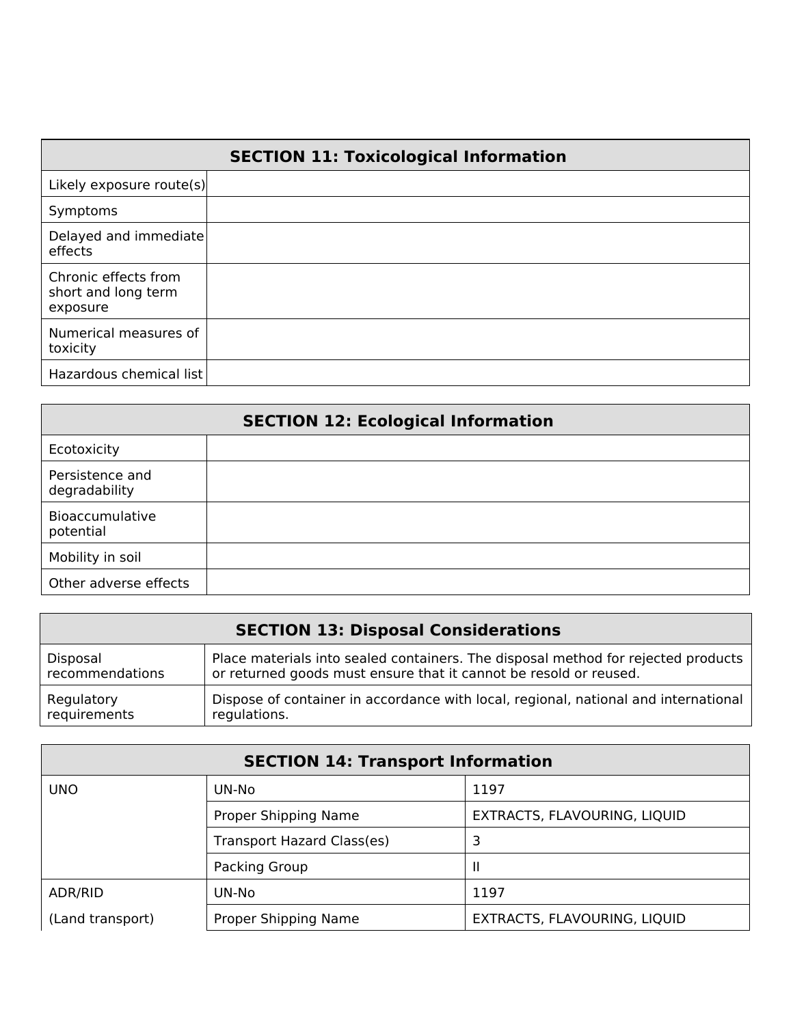|                                                         | <b>SECTION 11: Toxicological Information</b> |
|---------------------------------------------------------|----------------------------------------------|
| Likely exposure route(s)                                |                                              |
| Symptoms                                                |                                              |
| Delayed and immediate<br>effects                        |                                              |
| Chronic effects from<br>short and long term<br>exposure |                                              |
| Numerical measures of<br>toxicity                       |                                              |
| Hazardous chemical list                                 |                                              |

| <b>SECTION 12: Ecological Information</b> |  |  |
|-------------------------------------------|--|--|
| Ecotoxicity                               |  |  |
| Persistence and<br>degradability          |  |  |
| Bioaccumulative<br>potential              |  |  |
| Mobility in soil                          |  |  |
| Other adverse effects                     |  |  |

| <b>SECTION 13: Disposal Considerations</b> |                                                                                     |  |
|--------------------------------------------|-------------------------------------------------------------------------------------|--|
| Disposal                                   | Place materials into sealed containers. The disposal method for rejected products   |  |
| recommendations                            | or returned goods must ensure that it cannot be resold or reused.                   |  |
| Regulatory                                 | Dispose of container in accordance with local, regional, national and international |  |
| requirements                               | regulations.                                                                        |  |

| <b>SECTION 14: Transport Information</b> |                                                      |      |
|------------------------------------------|------------------------------------------------------|------|
| <b>UNO</b>                               | UN-No                                                | 1197 |
|                                          | Proper Shipping Name<br>EXTRACTS, FLAVOURING, LIQUID |      |
|                                          | Transport Hazard Class(es)<br>3                      |      |
|                                          | Packing Group                                        |      |
| ADR/RID                                  | UN-No                                                | 1197 |
| (Land transport)                         | Proper Shipping Name<br>EXTRACTS, FLAVOURING, LIQUID |      |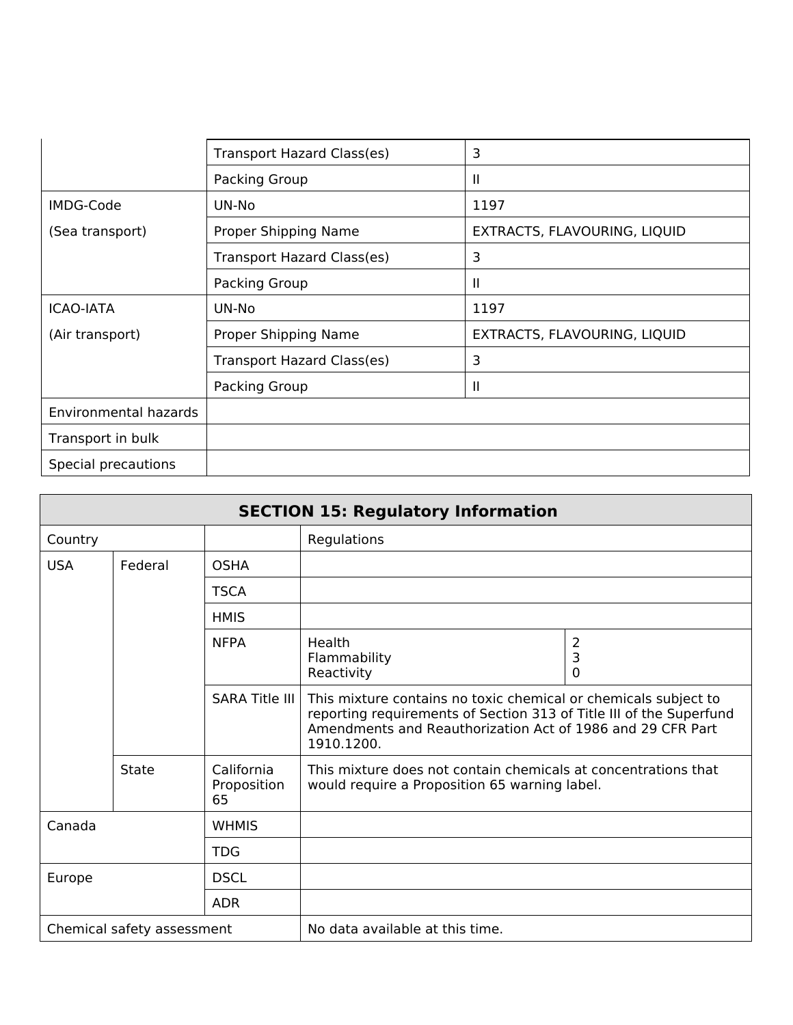|                       | Transport Hazard Class(es)                           | 3            |
|-----------------------|------------------------------------------------------|--------------|
|                       | Packing Group                                        | Ш            |
| IMDG-Code             | 1197<br>UN-No                                        |              |
| (Sea transport)       | Proper Shipping Name<br>EXTRACTS, FLAVOURING, LIQUID |              |
|                       | Transport Hazard Class(es)                           | 3            |
|                       | Packing Group                                        | $\mathbf{H}$ |
| <b>ICAO-IATA</b>      | 1197<br>UN-No                                        |              |
| (Air transport)       | Proper Shipping Name<br>EXTRACTS, FLAVOURING, LIQUID |              |
|                       | Transport Hazard Class(es)                           | 3            |
|                       | Packing Group                                        | Ш            |
| Environmental hazards |                                                      |              |
| Transport in bulk     |                                                      |              |
| Special precautions   |                                                      |              |

| <b>SECTION 15: Regulatory Information</b> |         |                                 |                                                                                                                                                                                                                    |                          |
|-------------------------------------------|---------|---------------------------------|--------------------------------------------------------------------------------------------------------------------------------------------------------------------------------------------------------------------|--------------------------|
| Country                                   |         |                                 | Regulations                                                                                                                                                                                                        |                          |
| <b>USA</b>                                | Federal | <b>OSHA</b>                     |                                                                                                                                                                                                                    |                          |
|                                           |         | <b>TSCA</b>                     |                                                                                                                                                                                                                    |                          |
|                                           |         | <b>HMIS</b>                     |                                                                                                                                                                                                                    |                          |
|                                           |         | <b>NFPA</b>                     | Health<br>Flammability<br>Reactivity                                                                                                                                                                               | 2<br>3<br>$\overline{0}$ |
|                                           |         | <b>SARA Title III</b>           | This mixture contains no toxic chemical or chemicals subject to<br>reporting requirements of Section 313 of Title III of the Superfund<br>Amendments and Reauthorization Act of 1986 and 29 CFR Part<br>1910.1200. |                          |
|                                           | State   | California<br>Proposition<br>65 | This mixture does not contain chemicals at concentrations that<br>would require a Proposition 65 warning label.                                                                                                    |                          |
| Canada                                    |         | <b>WHMIS</b>                    |                                                                                                                                                                                                                    |                          |
|                                           |         | <b>TDG</b>                      |                                                                                                                                                                                                                    |                          |
| Europe                                    |         | <b>DSCL</b>                     |                                                                                                                                                                                                                    |                          |
|                                           |         | <b>ADR</b>                      |                                                                                                                                                                                                                    |                          |
| Chemical safety assessment                |         |                                 | No data available at this time.                                                                                                                                                                                    |                          |